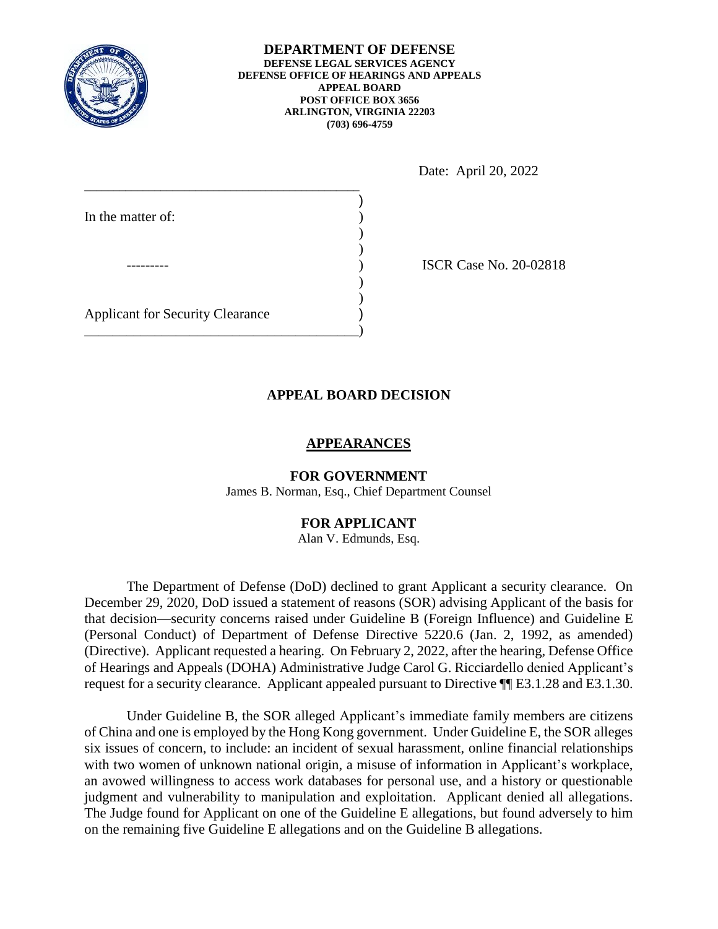

#### **DEPARTMENT OF DEFENSE DEFENSE LEGAL SERVICES AGENCY DEFENSE OFFICE OF HEARINGS AND APPEALS APPEAL BOARD POST OFFICE BOX 3656 ARLINGTON, VIRGINIA 22203 (703) 696-4759**

Date: April 20, 2022

| In the matter of:                       |  |
|-----------------------------------------|--|
|                                         |  |
|                                         |  |
|                                         |  |
|                                         |  |
| <b>Applicant for Security Clearance</b> |  |
|                                         |  |

**ISCR Case No. 20-02818** 

# **APPEAL BOARD DECISION**

# **APPEARANCES**

**FOR GOVERNMENT**  James B. Norman, Esq., Chief Department Counsel

# **FOR APPLICANT**

Alan V. Edmunds, Esq.

 The Department of Defense (DoD) declined to grant Applicant a security clearance. On (Personal Conduct) of Department of Defense Directive 5220.6 (Jan. 2, 1992, as amended) (Directive). Applicant requested a hearing. On February 2, 2022, after the hearing, Defense Office of Hearings and Appeals (DOHA) Administrative Judge Carol G. Ricciardello denied Applicant's request for a security clearance. Applicant appealed pursuant to Directive  $\P$ [E3.1.28 and E3.1.30. December 29, 2020, DoD issued a statement of reasons (SOR) advising Applicant of the basis for that decision—security concerns raised under Guideline B (Foreign Influence) and Guideline E

 of China and one is employed by the Hong Kong government. Under Guideline E, the SOR alleges an avowed willingness to access work databases for personal use, and a history or questionable judgment and vulnerability to manipulation and exploitation. Applicant denied all allegations. The Judge found for Applicant on one of the Guideline E allegations, but found adversely to him Under Guideline B, the SOR alleged Applicant's immediate family members are citizens six issues of concern, to include: an incident of sexual harassment, online financial relationships with two women of unknown national origin, a misuse of information in Applicant's workplace, on the remaining five Guideline E allegations and on the Guideline B allegations.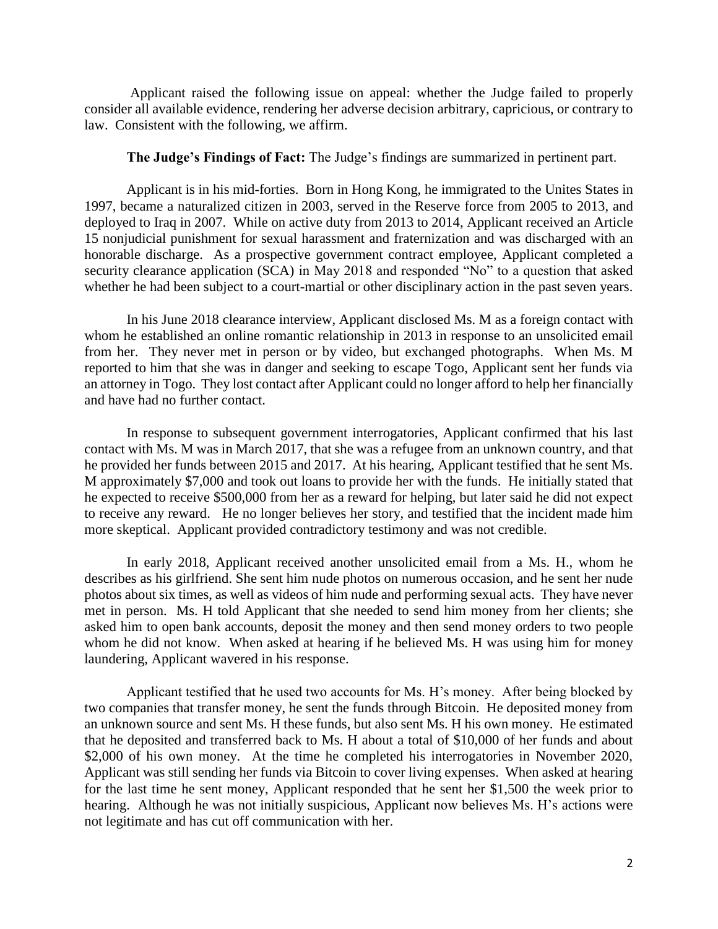Applicant raised the following issue on appeal: whether the Judge failed to properly consider all available evidence, rendering her adverse decision arbitrary, capricious, or contrary to law. Consistent with the following, we affirm.

# **The Judge's Findings of Fact:** The Judge's findings are summarized in pertinent part.

 1997, became a naturalized citizen in 2003, served in the Reserve force from 2005 to 2013, and deployed to Iraq in 2007. While on active duty from 2013 to 2014, Applicant received an Article honorable discharge. As a prospective government contract employee, Applicant completed a security clearance application (SCA) in May 2018 and responded "No" to a question that asked whether he had been subject to a court-martial or other disciplinary action in the past seven years.<br>In his June 2018 clearance interview, Applicant disclosed Ms. M as a foreign contact with Applicant is in his mid-forties. Born in Hong Kong, he immigrated to the Unites States in 15 nonjudicial punishment for sexual harassment and fraternization and was discharged with an

 from her. They never met in person or by video, but exchanged photographs. When Ms. M reported to him that she was in danger and seeking to escape Togo, Applicant sent her funds via whom he established an online romantic relationship in 2013 in response to an unsolicited email an attorney in Togo. They lost contact after Applicant could no longer afford to help her financially and have had no further contact.

 contact with Ms. M was in March 2017, that she was a refugee from an unknown country, and that he provided her funds between 2015 and 2017. At his hearing, Applicant testified that he sent Ms. he expected to receive \$500,000 from her as a reward for helping, but later said he did not expect to receive any reward. He no longer believes her story, and testified that the incident made him more skeptical. Applicant provided contradictory testimony and was not credible. In response to subsequent government interrogatories, Applicant confirmed that his last M approximately \$7,000 and took out loans to provide her with the funds. He initially stated that

 In early 2018, Applicant received another unsolicited email from a Ms. H., whom he photos about six times, as well as videos of him nude and performing sexual acts. They have never met in person. Ms. H told Applicant that she needed to send him money from her clients; she whom he did not know. When asked at hearing if he believed Ms. H was using him for money describes as his girlfriend. She sent him nude photos on numerous occasion, and he sent her nude asked him to open bank accounts, deposit the money and then send money orders to two people laundering, Applicant wavered in his response.

 Applicant testified that he used two accounts for Ms. H's money. After being blocked by an unknown source and sent Ms. H these funds, but also sent Ms. H his own money. He estimated \$2,000 of his own money. At the time he completed his interrogatories in November 2020, Applicant was still sending her funds via Bitcoin to cover living expenses. When asked at hearing two companies that transfer money, he sent the funds through Bitcoin. He deposited money from that he deposited and transferred back to Ms. H about a total of \$10,000 of her funds and about for the last time he sent money, Applicant responded that he sent her \$1,500 the week prior to hearing. Although he was not initially suspicious, Applicant now believes Ms. H's actions were not legitimate and has cut off communication with her.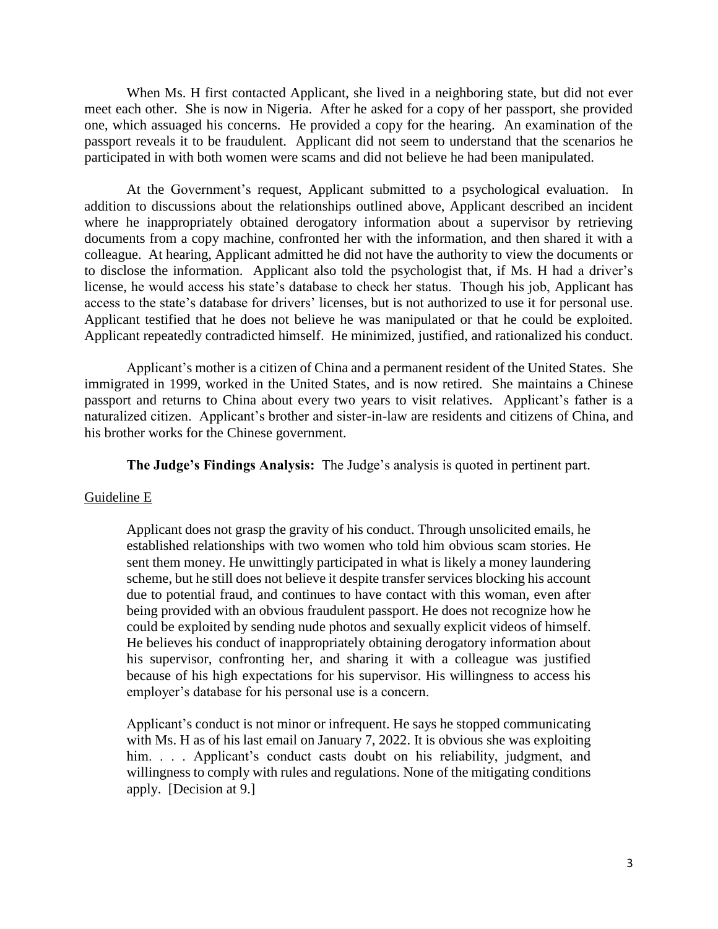When Ms. H first contacted Applicant, she lived in a neighboring state, but did not ever meet each other. She is now in Nigeria. After he asked for a copy of her passport, she provided one, which assuaged his concerns. He provided a copy for the hearing. An examination of the passport reveals it to be fraudulent. Applicant did not seem to understand that the scenarios he participated in with both women were scams and did not believe he had been manipulated.

 At the Government's request, Applicant submitted to a psychological evaluation. In where he inappropriately obtained derogatory information about a supervisor by retrieving documents from a copy machine, confronted her with the information, and then shared it with a colleague. At hearing, Applicant admitted he did not have the authority to view the documents or to disclose the information. Applicant also told the psychologist that, if Ms. H had a driver's access to the state's database for drivers' licenses, but is not authorized to use it for personal use. Applicant testified that he does not believe he was manipulated or that he could be exploited. Applicant repeatedly contradicted himself. He minimized, justified, and rationalized his conduct. Applicant's mother is a citizen of China and a permanent resident of the United States. She addition to discussions about the relationships outlined above, Applicant described an incident license, he would access his state's database to check her status. Though his job, Applicant has

Applicant's mother is a citizen of China and a permanent resident of the United States. She immigrated in 1999, worked in the United States, and is now retired. She maintains a Chinese passport and returns to China about every two years to visit relatives. Applicant's father is a naturalized citizen. Applicant's brother and sister-in-law are residents and citizens of China, and his brother works for the Chinese government.

**The Judge's Findings Analysis:** The Judge's analysis is quoted in pertinent part.

#### Guideline E

 Applicant does not grasp the gravity of his conduct. Through unsolicited emails, he sent them money. He unwittingly participated in what is likely a money laundering scheme, but he still does not believe it despite transfer services blocking his account being provided with an obvious fraudulent passport. He does not recognize how he could be exploited by sending nude photos and sexually explicit videos of himself. his supervisor, confronting her, and sharing it with a colleague was justified because of his high expectations for his supervisor. His willingness to access his established relationships with two women who told him obvious scam stories. He due to potential fraud, and continues to have contact with this woman, even after He believes his conduct of inappropriately obtaining derogatory information about employer's database for his personal use is a concern.

 Applicant's conduct is not minor or infrequent. He says he stopped communicating with Ms. H as of his last email on January 7, 2022. It is obvious she was exploiting him. . . . Applicant's conduct casts doubt on his reliability, judgment, and willingness to comply with rules and regulations. None of the mitigating conditions apply. [Decision at 9.]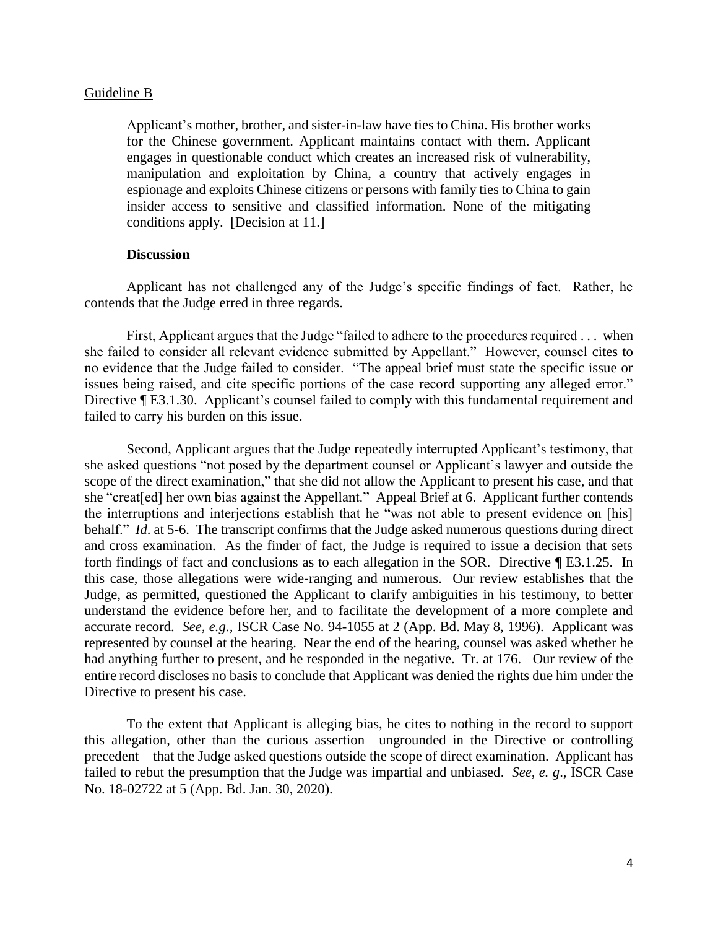### Guideline B

 Applicant's mother, brother, and sister-in-law have ties to China. His brother works manipulation and exploitation by China, a country that actively engages in espionage and exploits Chinese citizens or persons with family ties to China to gain insider access to sensitive and classified information. None of the mitigating conditions apply. [Decision at 11.] for the Chinese government. Applicant maintains contact with them. Applicant engages in questionable conduct which creates an increased risk of vulnerability,

## **Discussion**

 Applicant has not challenged any of the Judge's specific findings of fact. Rather, he contends that the Judge erred in three regards.

 no evidence that the Judge failed to consider. "The appeal brief must state the specific issue or issues being raised, and cite specific portions of the case record supporting any alleged error." First, Applicant argues that the Judge "failed to adhere to the procedures required . . . when she failed to consider all relevant evidence submitted by Appellant." However, counsel cites to Directive ¶ E3.1.30. Applicant's counsel failed to comply with this fundamental requirement and failed to carry his burden on this issue.

 she "creat[ed] her own bias against the Appellant." Appeal Brief at 6. Applicant further contends behalf." *Id*. at 5-6. The transcript confirms that the Judge asked numerous questions during direct and cross examination. As the finder of fact, the Judge is required to issue a decision that sets forth findings of fact and conclusions as to each allegation in the SOR. Directive [E3.1.25. In this case, those allegations were wide-ranging and numerous. Our review establishes that the Judge, as permitted, questioned the Applicant to clarify ambiguities in his testimony, to better understand the evidence before her, and to facilitate the development of a more complete and accurate record. *See, e.g.,* ISCR Case No. 94-1055 at 2 (App. Bd. May 8, 1996). Applicant was had anything further to present, and he responded in the negative. Tr. at 176. Our review of the entire record discloses no basis to conclude that Applicant was denied the rights due him under the Second, Applicant argues that the Judge repeatedly interrupted Applicant's testimony, that she asked questions "not posed by the department counsel or Applicant's lawyer and outside the scope of the direct examination," that she did not allow the Applicant to present his case, and that the interruptions and interjections establish that he "was not able to present evidence on [his] represented by counsel at the hearing. Near the end of the hearing, counsel was asked whether he Directive to present his case.

 precedent—that the Judge asked questions outside the scope of direct examination. Applicant has failed to rebut the presumption that the Judge was impartial and unbiased. *See, e. g*., ISCR Case To the extent that Applicant is alleging bias, he cites to nothing in the record to support this allegation, other than the curious assertion—ungrounded in the Directive or controlling No. 18-02722 at 5 (App. Bd. Jan. 30, 2020).